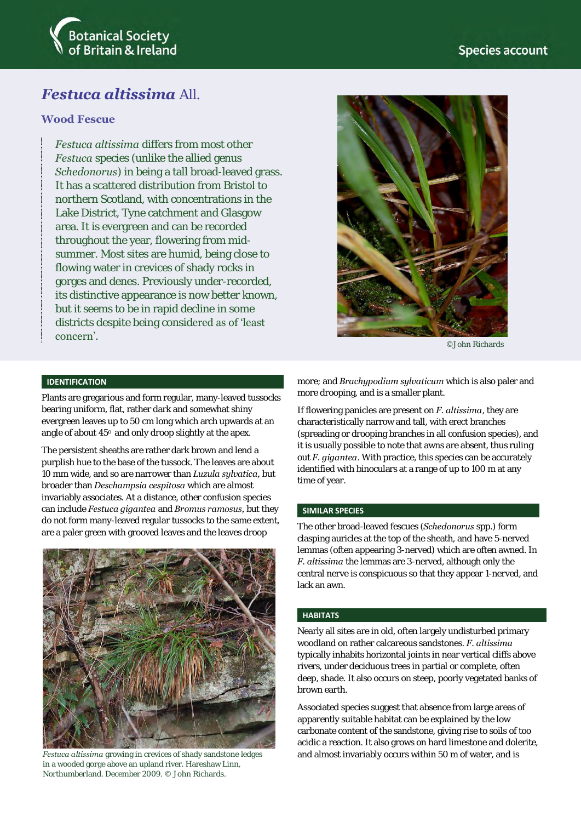

# *Festuca altissima* All.

## **Wood Fescue**

*Festuca altissima* differs from most other *Festuca* species (unlike the allied genus *Schedonorus*) in being a tall broad-leaved grass. It has a scattered distribution from Bristol to northern Scotland, with concentrations in the Lake District, Tyne catchment and Glasgow area. It is evergreen and can be recorded throughout the year, flowering from midsummer. Most sites are humid, being close to flowing water in crevices of shady rocks in gorges and denes. Previously under-recorded, its distinctive appearance is now better known, but it seems to be in rapid decline in some districts despite being considered as of 'least concern'.



©John Richards

### **IDENTIFICATION**

Plants are gregarious and form regular, many-leaved tussocks bearing uniform, flat, rather dark and somewhat shiny evergreen leaves up to 50 cm long which arch upwards at an angle of about 45° and only droop slightly at the apex.

The persistent sheaths are rather dark brown and lend a purplish hue to the base of the tussock. The leaves are about 10 mm wide, and so are narrower than *Luzula sylvatica,* but broader than *Deschampsia cespitosa* which are almost invariably associates. At a distance, other confusion species can include *Festuca gigantea* and *Bromus ramosus,* but they do not form many-leaved regular tussocks to the same extent, are a paler green with grooved leaves and the leaves droop



in a wooded gorge above an upland river. Hareshaw Linn, Northumberland. December 2009. © John Richards.

more; and *Brachypodium sylvaticum* which is also paler and more drooping, and is a smaller plant.

If flowering panicles are present on *F. altissima*, they are characteristically narrow and tall, with erect branches (spreading or drooping branches in all confusion species), and it is usually possible to note that awns are absent, thus ruling out *F. gigantea*. With practice, this species can be accurately identified with binoculars at a range of up to 100 m at any time of year.

#### **SIMILAR SPECIES**

The other broad-leaved fescues (*Schedonorus* spp.) form clasping auricles at the top of the sheath, and have 5-nerved lemmas (often appearing 3-nerved) which are often awned. In *F. altissima* the lemmas are 3-nerved, although only the central nerve is conspicuous so that they appear 1-nerved, and lack an awn.

#### **HABITATS**

Nearly all sites are in old, often largely undisturbed primary woodland on rather calcareous sandstones. *F. altissima* typically inhabits horizontal joints in near vertical cliffs above rivers, under deciduous trees in partial or complete, often deep, shade. It also occurs on steep, poorly vegetated banks of brown earth.

Associated species suggest that absence from large areas of apparently suitable habitat can be explained by the low carbonate content of the sandstone, giving rise to soils of too acidic a reaction. It also grows on hard limestone and dolerite, *Festuca altissima* growing in crevices of shady sandstone ledges and almost invariably occurs within 50 m of water, and is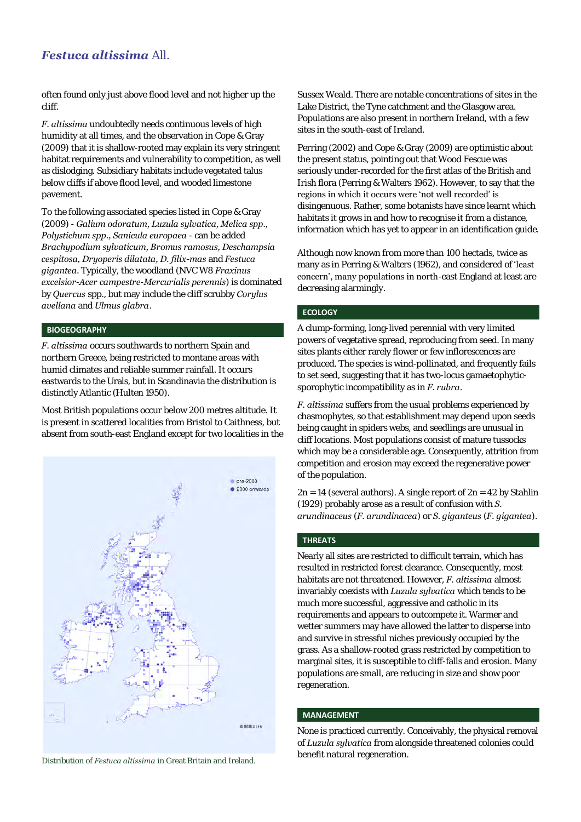# *Festuca altissima* All.

often found only just above flood level and not higher up the cliff.

*F. altissima* undoubtedly needs continuous levels of high humidity at all times, and the observation in Cope & Gray (2009) that it is shallow-rooted may explain its very stringent habitat requirements and vulnerability to competition, as well as dislodging. Subsidiary habitats include vegetated talus below cliffs if above flood level, and wooded limestone pavement.

To the following associated species listed in Cope & Gray (2009) - *Galium odoratum, Luzula sylvatica, Melica spp., Polystichum spp., Sanicula europaea* - can be added *Brachypodium sylvaticum, Bromus ramosus, Deschampsia cespitosa, Dryoperis dilatata, D. filix-mas* and *Festuca gigantea.* Typically, the woodland (NVC W8 *Fraxinus excelsior*-*Acer campestre*-*Mercurialis perennis*) is dominated by *Quercus* spp., but may include the cliff scrubby *Corylus avellana* and *Ulmus glabra*.

#### **BIOGEOGRAPHY**

*F. altissima* occurs southwards to northern Spain and northern Greece, being restricted to montane areas with humid climates and reliable summer rainfall. It occurs eastwards to the Urals, but in Scandinavia the distribution is distinctly Atlantic (Hulten 1950).

Most British populations occur below 200 metres altitude. It is present in scattered localities from Bristol to Caithness, but absent from south-east England except for two localities in the



Distribution of *Festuca altissima* in Great Britain and Ireland.

Sussex Weald. There are notable concentrations of sites in the Lake District, the Tyne catchment and the Glasgow area. Populations are also present in northern Ireland, with a few sites in the south-east of Ireland.

Perring (2002) and Cope & Gray (2009) are optimistic about the present status, pointing out that Wood Fescue was seriously under-recorded for the first atlas of the British and Irish flora (Perring & Walters 1962). However, to say that the regions in which it occurs were 'not well recorded' is disingenuous. Rather, some botanists have since learnt which habitats it grows in and how to recognise it from a distance, information which has yet to appear in an identification guide.

Although now known from more than 100 hectads, twice as many as in Perring & Walters (1962), and considered of 'least concern', many populations in north-east England at least are decreasing alarmingly.

#### **ECOLOGY**

A clump-forming, long-lived perennial with very limited powers of vegetative spread, reproducing from seed. In many sites plants either rarely flower or few inflorescences are produced. The species is wind-pollinated, and frequently fails to set seed, suggesting that it has two-locus gamaetophyticsporophytic incompatibility as in *F. rubra*.

*F. altissima* suffers from the usual problems experienced by chasmophytes, so that establishment may depend upon seeds being caught in spiders webs, and seedlings are unusual in cliff locations. Most populations consist of mature tussocks which may be a considerable age. Consequently, attrition from competition and erosion may exceed the regenerative power of the population.

 $2n = 14$  (several authors). A single report of  $2n = 42$  by Stahlin (1929) probably arose as a result of confusion with *S. arundinaceus* (*F. arundinacea*) or *S. giganteus* (*F. gigantea*).

#### **THREATS**

Nearly all sites are restricted to difficult terrain, which has resulted in restricted forest clearance. Consequently, most habitats are not threatened. However, *F. altissima* almost invariably coexists with *Luzula sylvatica* which tends to be much more successful, aggressive and catholic in its requirements and appears to outcompete it. Warmer and wetter summers may have allowed the latter to disperse into and survive in stressful niches previously occupied by the grass. As a shallow-rooted grass restricted by competition to marginal sites, it is susceptible to cliff-falls and erosion. Many populations are small, are reducing in size and show poor regeneration.

#### **MANAGEMENT**

None is practiced currently. Conceivably, the physical removal of *Luzula sylvatica* from alongside threatened colonies could benefit natural regeneration.